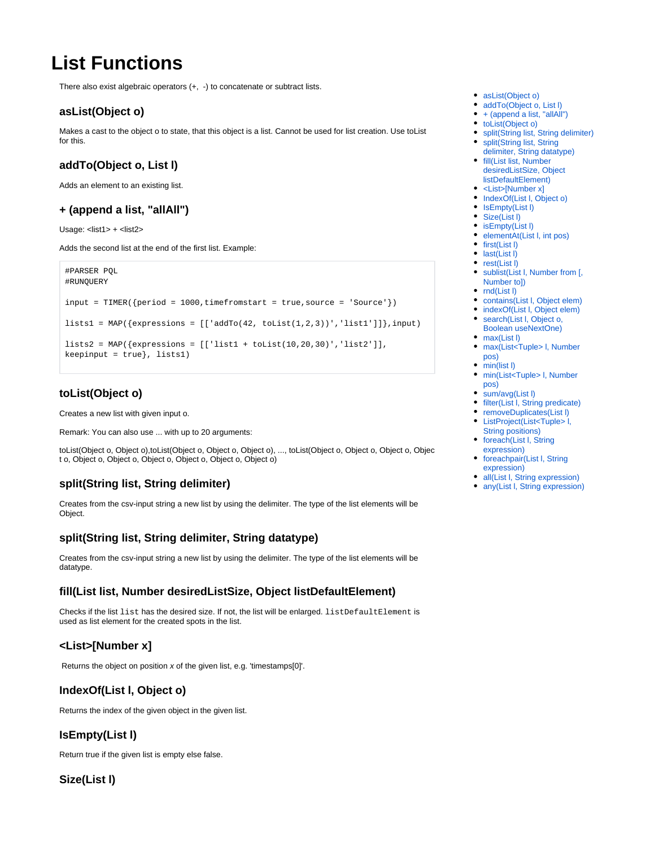# **List Functions**

There also exist algebraic operators (+, -) to concatenate or subtract lists.

### <span id="page-0-0"></span>**asList(Object o)**

Makes a cast to the object o to state, that this object is a list. Cannot be used for list creation. Use toList for this.

# <span id="page-0-1"></span>**addTo(Object o, List l)**

Adds an element to an existing list.

#### <span id="page-0-2"></span>**+ (append a list, "allAll")**

Usage: <list1> + <list2>

Adds the second list at the end of the first list. Example:

```
#PARSER PQL
#RUNQUERY
input = TIMER({<i>period</i> = 1000, timefromstart = true, source = 'Source'} )lists1 = MAP(\{expressions = [[\naddTo(42, tolist(1,2,3))', 'list1']]\}, input)lists2 = MAP({\{expressions = [\lceil 1ist1 + tolist(10, 20, 30)'\rceil, 'list2'\rceil\},keepinput = true}, lists1)
```
# <span id="page-0-3"></span>**toList(Object o)**

Creates a new list with given input o.

Remark: You can also use ... with up to 20 arguments:

toList(Object o, Object o),toList(Object o, Object o, Object o), ..., toList(Object o, Object o, Object o, Objec t o, Object o, Object o, Object o, Object o, Object o, Object o)

# <span id="page-0-4"></span>**split(String list, String delimiter)**

Creates from the csv-input string a new list by using the delimiter. The type of the list elements will be Object.

# <span id="page-0-5"></span>**split(String list, String delimiter, String datatype)**

Creates from the csv-input string a new list by using the delimiter. The type of the list elements will be datatype.

#### <span id="page-0-6"></span>**fill(List list, Number desiredListSize, Object listDefaultElement)**

Checks if the list list has the desired size. If not, the list will be enlarged. listDefaultElement is used as list element for the created spots in the list.

#### <span id="page-0-7"></span>**<List>[Number x]**

Returns the object on position x of the given list, e.g. 'timestamps[0]'.

#### <span id="page-0-8"></span>**IndexOf(List l, Object o)**

Returns the index of the given object in the given list.

# <span id="page-0-9"></span>**IsEmpty(List l)**

Return true if the given list is empty else false.

```
Size(List l)
```
- [asList\(Object o\)](#page-0-0)
- addTo(Object o, List I)
- $\bullet$  [+ \(append a list, "allAll"\)](#page-0-2)
- [toList\(Object o\)](#page-0-3)
- [split\(String list, String delimiter\)](#page-0-4) • split(String list, String
- [delimiter, String datatype\)](#page-0-5) [fill\(List list, Number](#page-0-6)
- [desiredListSize, Object](#page-0-6)  [listDefaultElement\)](#page-0-6)
- [<List>\[Number x\]](#page-0-7)  $\bullet$
- [IndexOf\(List l, Object o\)](#page-0-8)
- IsEmpty(List I)
- Size(List I) • isEmpty(List I)
- elementAt(List I, int pos)
- first(List I)
- last(List I)
- rest(List I)
- [sublist\(List l, Number from \[,](#page-1-5)  [Number to\]\)](#page-1-5)
- $\bullet$   $rnd(List I)$
- [contains\(List l, Object elem\)](#page-1-7)
- indexOf(List I, Object elem)
- search(List I, Object o, [Boolean useNextOne\)](#page-1-9)
- max(List I) • max(List<Tuple> I, Number
- [pos\)](#page-1-11)
- min(list I)
- min(List<Tuple> I, Number [pos\)](#page-2-1)
- sum/avg(List I)
- filter(List I, String predicate)
- [removeDuplicates\(List l\)](#page-2-4) [ListProject\(List<Tuple> l,](#page-2-5)
- [String positions\)](#page-2-5)
- foreach(List I, String [expression\)](#page-2-6)
- foreachpair(List I, String [expression\)](#page-2-7)
- all(List I, String expression)
- any(List I, String expression)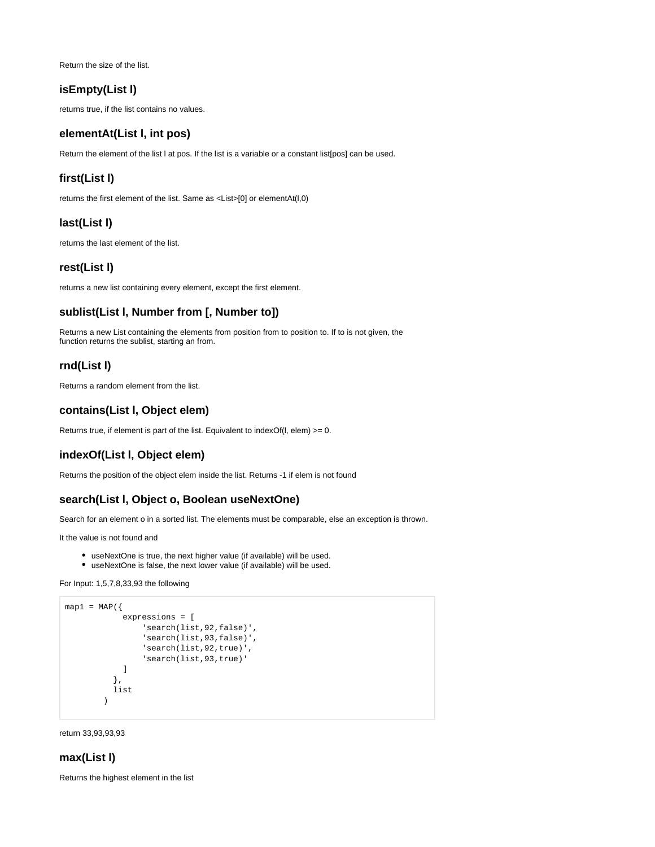Return the size of the list.

## <span id="page-1-0"></span>**isEmpty(List l)**

returns true, if the list contains no values.

#### <span id="page-1-1"></span>**elementAt(List l, int pos)**

Return the element of the list l at pos. If the list is a variable or a constant list[pos] can be used.

### <span id="page-1-2"></span>**first(List l)**

returns the first element of the list. Same as <List>[0] or elementAt(l,0)

## <span id="page-1-3"></span>**last(List l)**

returns the last element of the list.

#### <span id="page-1-4"></span>**rest(List l)**

returns a new list containing every element, except the first element.

## <span id="page-1-5"></span>**sublist(List l, Number from [, Number to])**

Returns a new List containing the elements from position from to position to. If to is not given, the function returns the sublist, starting an from.

#### <span id="page-1-6"></span>**rnd(List l)**

Returns a random element from the list.

#### <span id="page-1-7"></span>**contains(List l, Object elem)**

Returns true, if element is part of the list. Equivalent to indexOf(l, elem)  $>= 0$ .

#### <span id="page-1-8"></span>**indexOf(List l, Object elem)**

Returns the position of the object elem inside the list. Returns -1 if elem is not found

#### <span id="page-1-9"></span>**search(List l, Object o, Boolean useNextOne)**

Search for an element o in a sorted list. The elements must be comparable, else an exception is thrown.

It the value is not found and

- useNextOne is true, the next higher value (if available) will be used.
- useNextOne is false, the next lower value (if available) will be used.

For Input: 1,5,7,8,33,93 the following

```
map1 = MAP({} expressions = [
                    'search(list,92,false)',
                    'search(list,93,false)',
                    'search(list,92,true)',
                    'search(list,93,true)' 
               ] 
             },
             list
\overline{\phantom{a}}
```
return 33,93,93,93

## <span id="page-1-10"></span>**max(List l)**

<span id="page-1-11"></span>Returns the highest element in the list